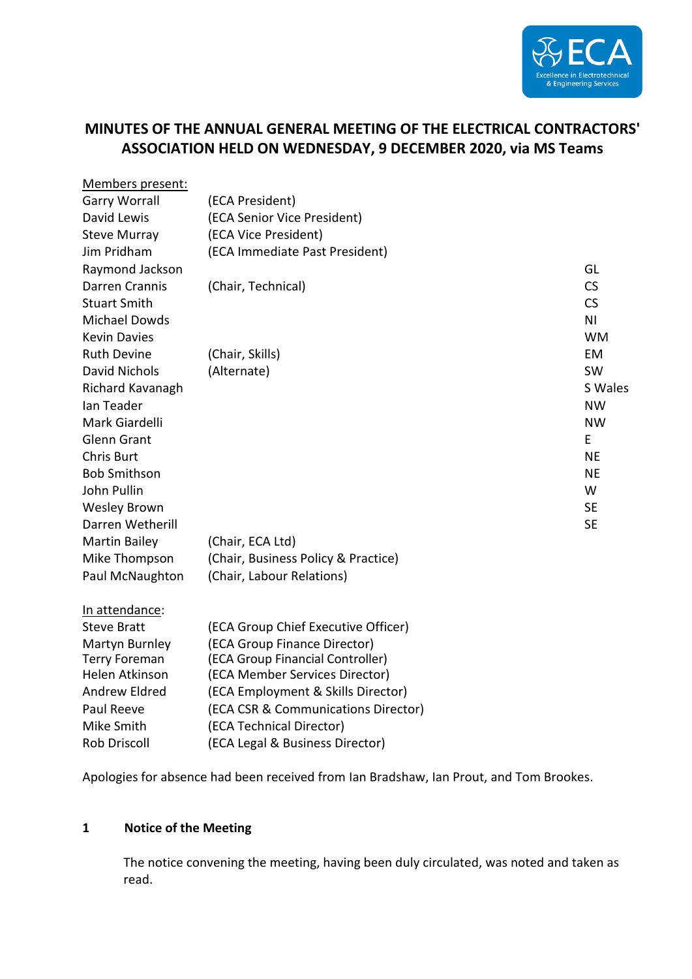

# **MINUTES OF THE ANNUAL GENERAL MEETING OF THE ELECTRICAL CONTRACTORS' ASSOCIATION HELD ON WEDNESDAY, 9 DECEMBER 2020, via MS Teams**

| Members present:      |                                     |                |
|-----------------------|-------------------------------------|----------------|
| <b>Garry Worrall</b>  | (ECA President)                     |                |
| David Lewis           | (ECA Senior Vice President)         |                |
| <b>Steve Murray</b>   | (ECA Vice President)                |                |
| Jim Pridham           | (ECA Immediate Past President)      |                |
| Raymond Jackson       |                                     | GL             |
| Darren Crannis        | (Chair, Technical)                  | <b>CS</b>      |
| <b>Stuart Smith</b>   |                                     | <b>CS</b>      |
| <b>Michael Dowds</b>  |                                     | N <sub>1</sub> |
| <b>Kevin Davies</b>   |                                     | <b>WM</b>      |
| <b>Ruth Devine</b>    | (Chair, Skills)                     | <b>EM</b>      |
| <b>David Nichols</b>  | (Alternate)                         | SW             |
| Richard Kavanagh      |                                     | S Wales        |
| Ian Teader            |                                     | <b>NW</b>      |
| Mark Giardelli        |                                     | <b>NW</b>      |
| <b>Glenn Grant</b>    |                                     | E              |
| <b>Chris Burt</b>     |                                     | <b>NE</b>      |
| <b>Bob Smithson</b>   |                                     | <b>NE</b>      |
| John Pullin           |                                     | W              |
| <b>Wesley Brown</b>   |                                     | <b>SE</b>      |
| Darren Wetherill      |                                     | <b>SE</b>      |
| <b>Martin Bailey</b>  | (Chair, ECA Ltd)                    |                |
| Mike Thompson         | (Chair, Business Policy & Practice) |                |
| Paul McNaughton       | (Chair, Labour Relations)           |                |
| In attendance:        |                                     |                |
| <b>Steve Bratt</b>    | (ECA Group Chief Executive Officer) |                |
| Martyn Burnley        | (ECA Group Finance Director)        |                |
| <b>Terry Foreman</b>  | (ECA Group Financial Controller)    |                |
| <b>Helen Atkinson</b> | (ECA Member Services Director)      |                |
| <b>Andrew Eldred</b>  | (ECA Employment & Skills Director)  |                |
| Paul Reeve            | (ECA CSR & Communications Director) |                |
| Mike Smith            | (ECA Technical Director)            |                |
| <b>Rob Driscoll</b>   | (ECA Legal & Business Director)     |                |

Apologies for absence had been received from Ian Bradshaw, Ian Prout, and Tom Brookes.

### **1 Notice of the Meeting**

The notice convening the meeting, having been duly circulated, was noted and taken as read.